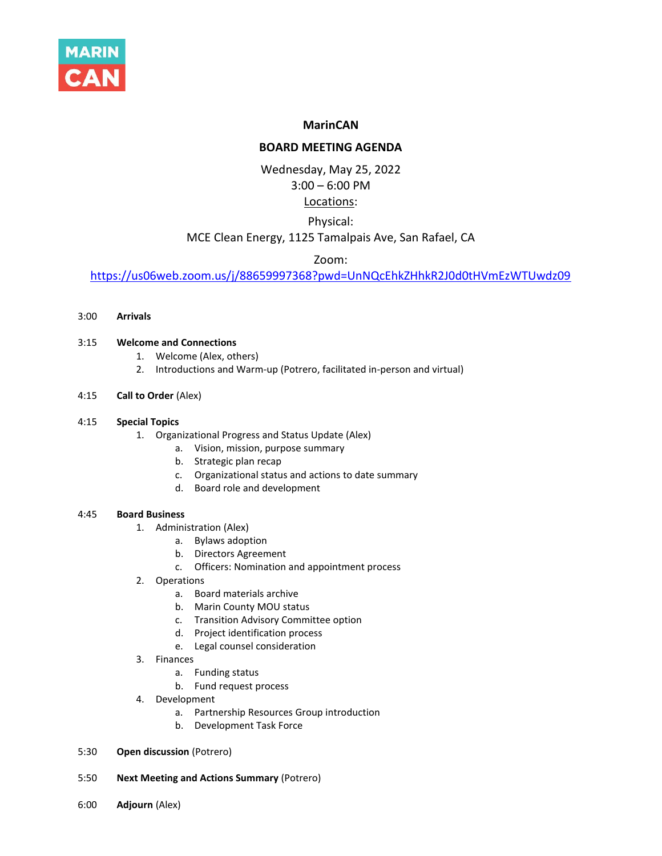

# **MarinCAN**

# **BOARD MEETING AGENDA**

Wednesday, May 25, 2022 3:00 – 6:00 PM

# Locations:

# Physical:

# MCE Clean Energy, 1125 Tamalpais Ave, San Rafael, CA

# Zoom:

<https://us06web.zoom.us/j/88659997368?pwd=UnNQcEhkZHhkR2J0d0tHVmEzWTUwdz09>

3:00 **Arrivals**

## 3:15 **Welcome and Connections**

- 1. Welcome (Alex, others)
- 2. Introductions and Warm-up (Potrero, facilitated in-person and virtual)
- 4:15 **Call to Order** (Alex)

#### 4:15 **Special Topics**

- 1. Organizational Progress and Status Update (Alex)
	- a. Vision, mission, purpose summary
	- b. Strategic plan recap
	- c. Organizational status and actions to date summary
	- d. Board role and development

## 4:45 **Board Business**

- 1. Administration (Alex)
	- a. Bylaws adoption
	- b. Directors Agreement
	- c. Officers: Nomination and appointment process
- 2. Operations
	- a. Board materials archive
	- b. Marin County MOU status
	- c. Transition Advisory Committee option
	- d. Project identification process
	- e. Legal counsel consideration
- 3. Finances
	- a. Funding status
	- b. Fund request process
- 4. Development
	- a. Partnership Resources Group introduction
	- b. Development Task Force
- 5:30 **Open discussion** (Potrero)
- 5:50 **Next Meeting and Actions Summary** (Potrero)
- 6:00 **Adjourn** (Alex)